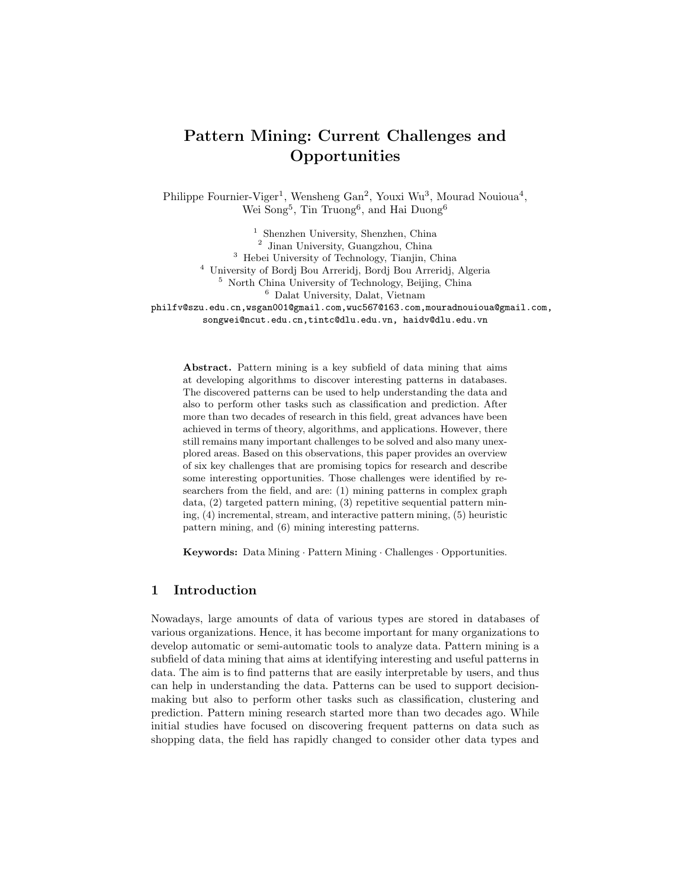# Pattern Mining: Current Challenges and **Opportunities**

Philippe Fournier-Viger<sup>1</sup>, Wensheng Gan<sup>2</sup>, Youxi Wu<sup>3</sup>, Mourad Nouioua<sup>4</sup>, Wei Song<sup>5</sup>, Tin Truong<sup>6</sup>, and Hai Duong<sup>6</sup>

<sup>1</sup> Shenzhen University, Shenzhen, China Jinan University, Guangzhou, China Hebei University of Technology, Tianjin, China University of Bordj Bou Arreridj, Bordj Bou Arreridj, Algeria North China University of Technology, Beijing, China Dalat University, Dalat, Vietnam philfv@szu.edu.cn,wsgan001@gmail.com,wuc567@163.com,mouradnouioua@gmail.com, songwei@ncut.edu.cn,tintc@dlu.edu.vn, haidv@dlu.edu.vn

Abstract. Pattern mining is a key subfield of data mining that aims at developing algorithms to discover interesting patterns in databases. The discovered patterns can be used to help understanding the data and also to perform other tasks such as classification and prediction. After more than two decades of research in this field, great advances have been achieved in terms of theory, algorithms, and applications. However, there still remains many important challenges to be solved and also many unexplored areas. Based on this observations, this paper provides an overview of six key challenges that are promising topics for research and describe some interesting opportunities. Those challenges were identified by researchers from the field, and are: (1) mining patterns in complex graph data, (2) targeted pattern mining, (3) repetitive sequential pattern mining, (4) incremental, stream, and interactive pattern mining, (5) heuristic pattern mining, and (6) mining interesting patterns.

Keywords: Data Mining · Pattern Mining · Challenges · Opportunities.

# 1 Introduction

Nowadays, large amounts of data of various types are stored in databases of various organizations. Hence, it has become important for many organizations to develop automatic or semi-automatic tools to analyze data. Pattern mining is a subfield of data mining that aims at identifying interesting and useful patterns in data. The aim is to find patterns that are easily interpretable by users, and thus can help in understanding the data. Patterns can be used to support decisionmaking but also to perform other tasks such as classification, clustering and prediction. Pattern mining research started more than two decades ago. While initial studies have focused on discovering frequent patterns on data such as shopping data, the field has rapidly changed to consider other data types and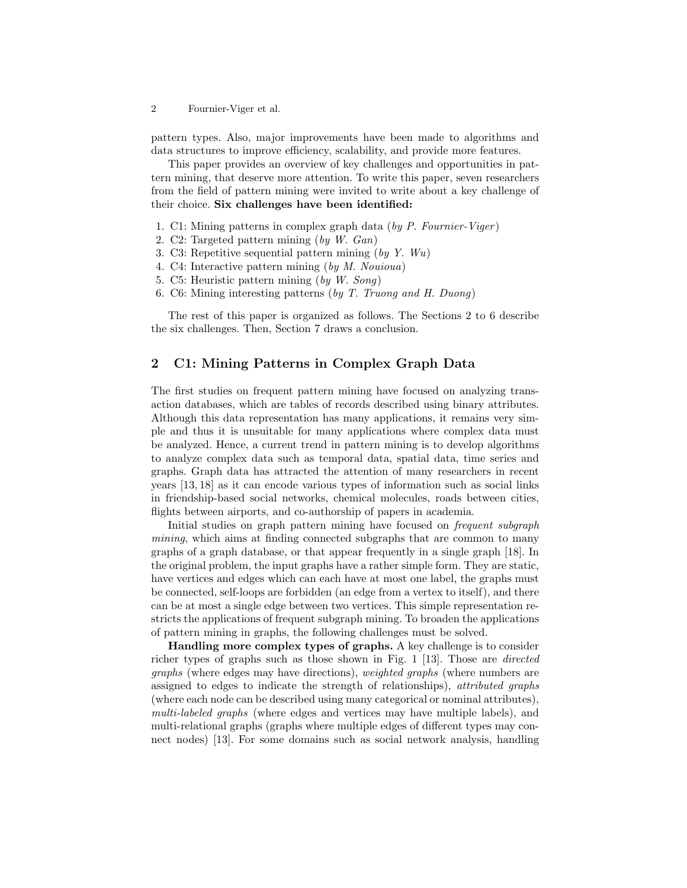pattern types. Also, major improvements have been made to algorithms and data structures to improve efficiency, scalability, and provide more features.

This paper provides an overview of key challenges and opportunities in pattern mining, that deserve more attention. To write this paper, seven researchers from the field of pattern mining were invited to write about a key challenge of their choice. Six challenges have been identified:

- 1. C1: Mining patterns in complex graph data (by P. Fournier-Viger)
- 2. C2: Targeted pattern mining (by W. Gan)
- 3. C3: Repetitive sequential pattern mining  $(by Y. Wu)$
- 4. C4: Interactive pattern mining (by M. Nouioua)
- 5. C5: Heuristic pattern mining (by W. Song)
- 6. C6: Mining interesting patterns (by T. Truong and H. Duong)

The rest of this paper is organized as follows. The Sections 2 to 6 describe the six challenges. Then, Section 7 draws a conclusion.

# 2 C1: Mining Patterns in Complex Graph Data

The first studies on frequent pattern mining have focused on analyzing transaction databases, which are tables of records described using binary attributes. Although this data representation has many applications, it remains very simple and thus it is unsuitable for many applications where complex data must be analyzed. Hence, a current trend in pattern mining is to develop algorithms to analyze complex data such as temporal data, spatial data, time series and graphs. Graph data has attracted the attention of many researchers in recent years [13, 18] as it can encode various types of information such as social links in friendship-based social networks, chemical molecules, roads between cities, flights between airports, and co-authorship of papers in academia.

Initial studies on graph pattern mining have focused on frequent subgraph mining, which aims at finding connected subgraphs that are common to many graphs of a graph database, or that appear frequently in a single graph [18]. In the original problem, the input graphs have a rather simple form. They are static, have vertices and edges which can each have at most one label, the graphs must be connected, self-loops are forbidden (an edge from a vertex to itself), and there can be at most a single edge between two vertices. This simple representation restricts the applications of frequent subgraph mining. To broaden the applications of pattern mining in graphs, the following challenges must be solved.

Handling more complex types of graphs. A key challenge is to consider richer types of graphs such as those shown in Fig. 1 [13]. Those are directed graphs (where edges may have directions), weighted graphs (where numbers are assigned to edges to indicate the strength of relationships), attributed graphs (where each node can be described using many categorical or nominal attributes), multi-labeled graphs (where edges and vertices may have multiple labels), and multi-relational graphs (graphs where multiple edges of different types may connect nodes) [13]. For some domains such as social network analysis, handling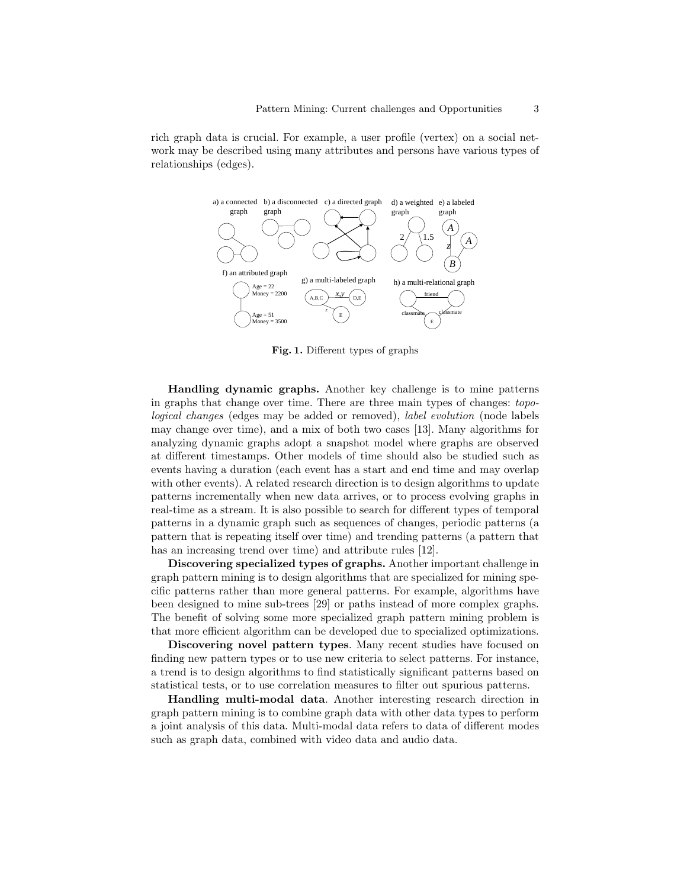rich graph data is crucial. For example, a user profile (vertex) on a social network may be described using many attributes and persons have various types of relationships (edges).



Fig. 1. Different types of graphs

Handling dynamic graphs. Another key challenge is to mine patterns in graphs that change over time. There are three main types of changes: topological changes (edges may be added or removed), label evolution (node labels may change over time), and a mix of both two cases [13]. Many algorithms for analyzing dynamic graphs adopt a snapshot model where graphs are observed at different timestamps. Other models of time should also be studied such as events having a duration (each event has a start and end time and may overlap with other events). A related research direction is to design algorithms to update patterns incrementally when new data arrives, or to process evolving graphs in real-time as a stream. It is also possible to search for different types of temporal patterns in a dynamic graph such as sequences of changes, periodic patterns (a pattern that is repeating itself over time) and trending patterns (a pattern that has an increasing trend over time) and attribute rules [12].

Discovering specialized types of graphs. Another important challenge in graph pattern mining is to design algorithms that are specialized for mining specific patterns rather than more general patterns. For example, algorithms have been designed to mine sub-trees [29] or paths instead of more complex graphs. The benefit of solving some more specialized graph pattern mining problem is that more efficient algorithm can be developed due to specialized optimizations.

Discovering novel pattern types. Many recent studies have focused on finding new pattern types or to use new criteria to select patterns. For instance, a trend is to design algorithms to find statistically significant patterns based on statistical tests, or to use correlation measures to filter out spurious patterns.

Handling multi-modal data. Another interesting research direction in graph pattern mining is to combine graph data with other data types to perform a joint analysis of this data. Multi-modal data refers to data of different modes such as graph data, combined with video data and audio data.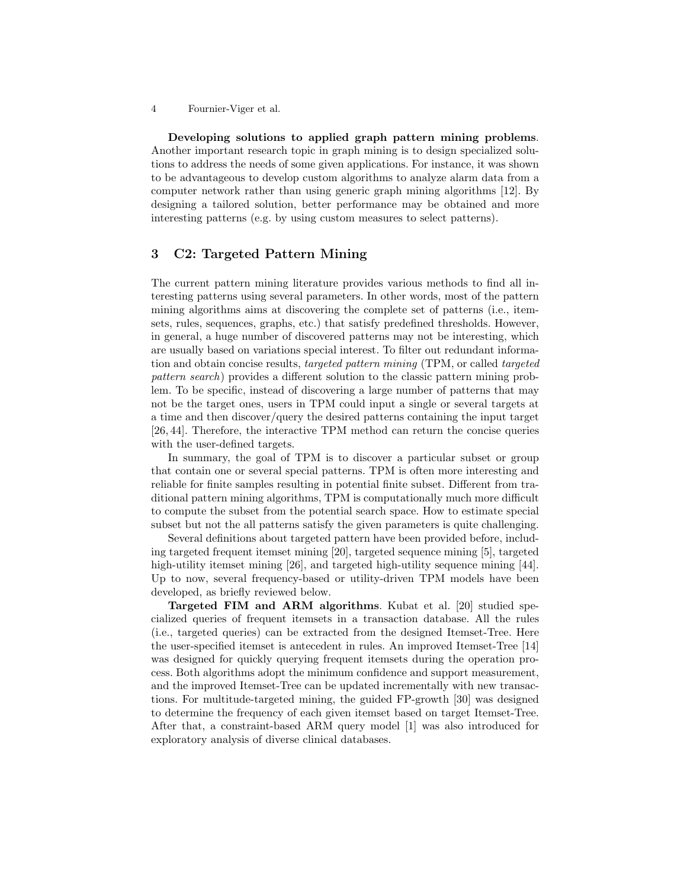Developing solutions to applied graph pattern mining problems. Another important research topic in graph mining is to design specialized solutions to address the needs of some given applications. For instance, it was shown to be advantageous to develop custom algorithms to analyze alarm data from a computer network rather than using generic graph mining algorithms [12]. By designing a tailored solution, better performance may be obtained and more interesting patterns (e.g. by using custom measures to select patterns).

# 3 C2: Targeted Pattern Mining

The current pattern mining literature provides various methods to find all interesting patterns using several parameters. In other words, most of the pattern mining algorithms aims at discovering the complete set of patterns (i.e., itemsets, rules, sequences, graphs, etc.) that satisfy predefined thresholds. However, in general, a huge number of discovered patterns may not be interesting, which are usually based on variations special interest. To filter out redundant information and obtain concise results, targeted pattern mining (TPM, or called targeted pattern search) provides a different solution to the classic pattern mining problem. To be specific, instead of discovering a large number of patterns that may not be the target ones, users in TPM could input a single or several targets at a time and then discover/query the desired patterns containing the input target [26, 44]. Therefore, the interactive TPM method can return the concise queries with the user-defined targets.

In summary, the goal of TPM is to discover a particular subset or group that contain one or several special patterns. TPM is often more interesting and reliable for finite samples resulting in potential finite subset. Different from traditional pattern mining algorithms, TPM is computationally much more difficult to compute the subset from the potential search space. How to estimate special subset but not the all patterns satisfy the given parameters is quite challenging.

Several definitions about targeted pattern have been provided before, including targeted frequent itemset mining [20], targeted sequence mining [5], targeted high-utility itemset mining [26], and targeted high-utility sequence mining [44]. Up to now, several frequency-based or utility-driven TPM models have been developed, as briefly reviewed below.

Targeted FIM and ARM algorithms. Kubat et al. [20] studied specialized queries of frequent itemsets in a transaction database. All the rules (i.e., targeted queries) can be extracted from the designed Itemset-Tree. Here the user-specified itemset is antecedent in rules. An improved Itemset-Tree [14] was designed for quickly querying frequent itemsets during the operation process. Both algorithms adopt the minimum confidence and support measurement, and the improved Itemset-Tree can be updated incrementally with new transactions. For multitude-targeted mining, the guided FP-growth [30] was designed to determine the frequency of each given itemset based on target Itemset-Tree. After that, a constraint-based ARM query model [1] was also introduced for exploratory analysis of diverse clinical databases.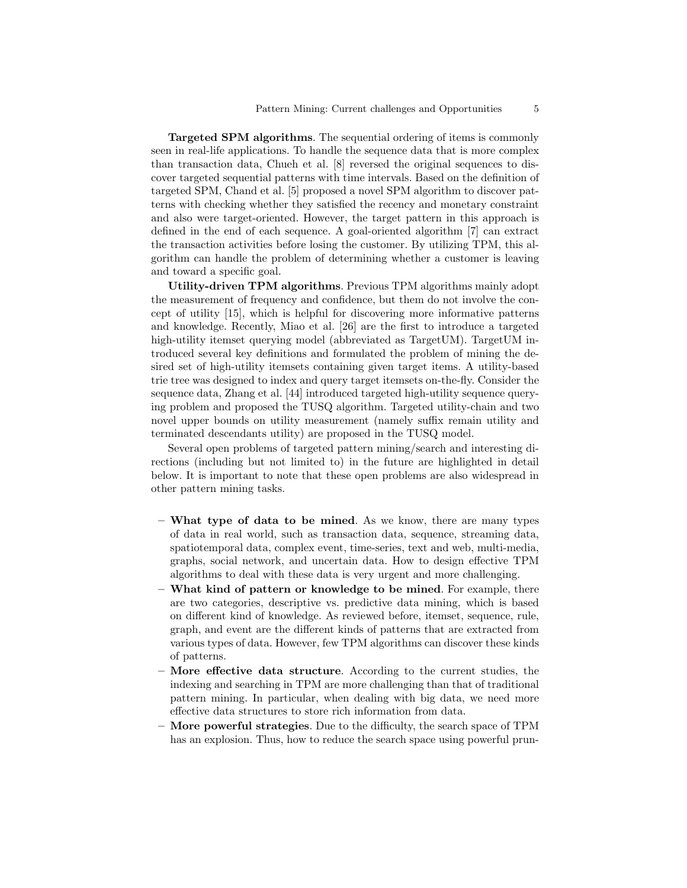Targeted SPM algorithms. The sequential ordering of items is commonly seen in real-life applications. To handle the sequence data that is more complex than transaction data, Chueh et al. [8] reversed the original sequences to discover targeted sequential patterns with time intervals. Based on the definition of targeted SPM, Chand et al. [5] proposed a novel SPM algorithm to discover patterns with checking whether they satisfied the recency and monetary constraint and also were target-oriented. However, the target pattern in this approach is defined in the end of each sequence. A goal-oriented algorithm [7] can extract the transaction activities before losing the customer. By utilizing TPM, this algorithm can handle the problem of determining whether a customer is leaving and toward a specific goal.

Utility-driven TPM algorithms. Previous TPM algorithms mainly adopt the measurement of frequency and confidence, but them do not involve the concept of utility [15], which is helpful for discovering more informative patterns and knowledge. Recently, Miao et al. [26] are the first to introduce a targeted high-utility itemset querying model (abbreviated as TargetUM). TargetUM introduced several key definitions and formulated the problem of mining the desired set of high-utility itemsets containing given target items. A utility-based trie tree was designed to index and query target itemsets on-the-fly. Consider the sequence data, Zhang et al. [44] introduced targeted high-utility sequence querying problem and proposed the TUSQ algorithm. Targeted utility-chain and two novel upper bounds on utility measurement (namely suffix remain utility and terminated descendants utility) are proposed in the TUSQ model.

Several open problems of targeted pattern mining/search and interesting directions (including but not limited to) in the future are highlighted in detail below. It is important to note that these open problems are also widespread in other pattern mining tasks.

- What type of data to be mined. As we know, there are many types of data in real world, such as transaction data, sequence, streaming data, spatiotemporal data, complex event, time-series, text and web, multi-media, graphs, social network, and uncertain data. How to design effective TPM algorithms to deal with these data is very urgent and more challenging.
- What kind of pattern or knowledge to be mined. For example, there are two categories, descriptive vs. predictive data mining, which is based on different kind of knowledge. As reviewed before, itemset, sequence, rule, graph, and event are the different kinds of patterns that are extracted from various types of data. However, few TPM algorithms can discover these kinds of patterns.
- More effective data structure. According to the current studies, the indexing and searching in TPM are more challenging than that of traditional pattern mining. In particular, when dealing with big data, we need more effective data structures to store rich information from data.
- More powerful strategies. Due to the difficulty, the search space of TPM has an explosion. Thus, how to reduce the search space using powerful prun-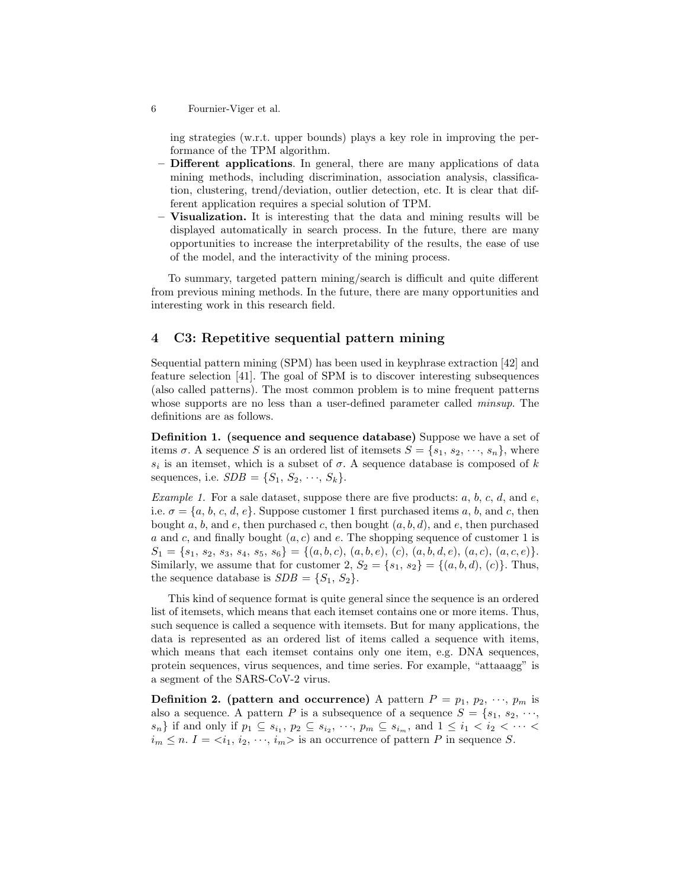ing strategies (w.r.t. upper bounds) plays a key role in improving the performance of the TPM algorithm.

- Different applications. In general, there are many applications of data mining methods, including discrimination, association analysis, classification, clustering, trend/deviation, outlier detection, etc. It is clear that different application requires a special solution of TPM.
- Visualization. It is interesting that the data and mining results will be displayed automatically in search process. In the future, there are many opportunities to increase the interpretability of the results, the ease of use of the model, and the interactivity of the mining process.

To summary, targeted pattern mining/search is difficult and quite different from previous mining methods. In the future, there are many opportunities and interesting work in this research field.

# 4 C3: Repetitive sequential pattern mining

Sequential pattern mining (SPM) has been used in keyphrase extraction [42] and feature selection [41]. The goal of SPM is to discover interesting subsequences (also called patterns). The most common problem is to mine frequent patterns whose supports are no less than a user-defined parameter called *minsup*. The definitions are as follows.

Definition 1. (sequence and sequence database) Suppose we have a set of items  $\sigma$ . A sequence S is an ordered list of itemsets  $S = \{s_1, s_2, \dots, s_n\}$ , where  $s_i$  is an itemset, which is a subset of  $\sigma$ . A sequence database is composed of k sequences, i.e.  $SDB = \{S_1, S_2, \dots, S_k\}.$ 

*Example 1.* For a sale dataset, suppose there are five products:  $a, b, c, d$ , and  $e$ , i.e.  $\sigma = \{a, b, c, d, e\}$ . Suppose customer 1 first purchased items a, b, and c, then bought  $a, b$ , and  $e$ , then purchased  $c$ , then bought  $(a, b, d)$ , and  $e$ , then purchased a and c, and finally bought  $(a, c)$  and e. The shopping sequence of customer 1 is  $S_1 = \{s_1, s_2, s_3, s_4, s_5, s_6\} = \{(a, b, c), (a, b, e), (c), (a, b, d, e), (a, c), (a, c, e)\}.$ Similarly, we assume that for customer 2,  $S_2 = \{s_1, s_2\} = \{(a, b, d), (c)\}.$  Thus, the sequence database is  $SDB = \{S_1, S_2\}.$ 

This kind of sequence format is quite general since the sequence is an ordered list of itemsets, which means that each itemset contains one or more items. Thus, such sequence is called a sequence with itemsets. But for many applications, the data is represented as an ordered list of items called a sequence with items, which means that each itemset contains only one item, e.g. DNA sequences, protein sequences, virus sequences, and time series. For example, "attaaagg" is a segment of the SARS-CoV-2 virus.

**Definition 2.** (pattern and occurrence) A pattern  $P = p_1, p_2, \dots, p_m$  is also a sequence. A pattern P is a subsequence of a sequence  $S = \{s_1, s_2, \dots,$  $\{s_n\}$  if and only if  $p_1 \subseteq s_{i_1}, p_2 \subseteq s_{i_2}, \dots, p_m \subseteq s_{i_m}$ , and  $1 \leq i_1 < i_2 < \dots < i_m$  $i_m \leq n$ .  $I = \langle i_1, i_2, \dots, i_m \rangle$  is an occurrence of pattern P in sequence S.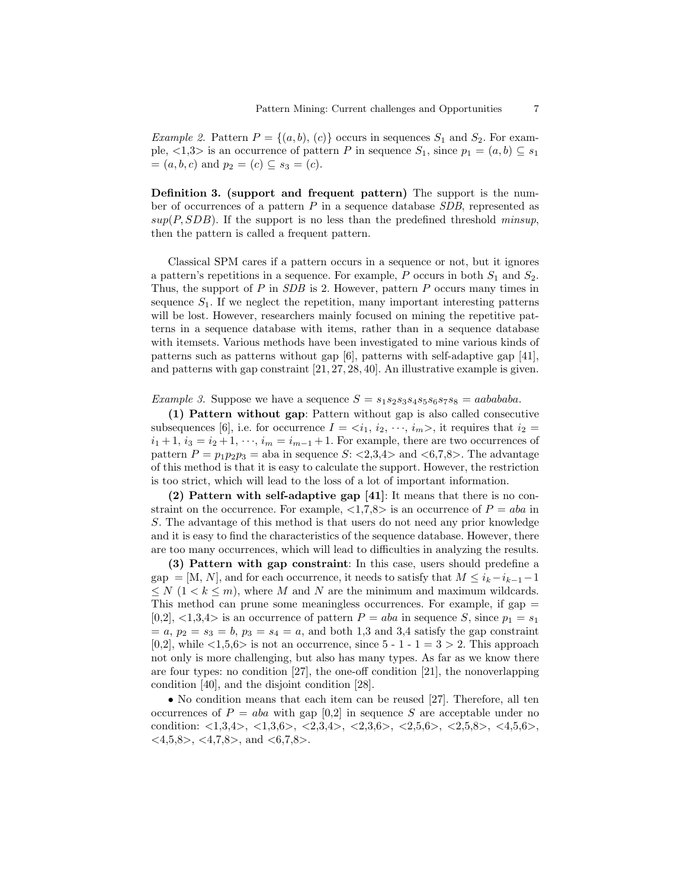*Example 2.* Pattern  $P = \{(a, b), (c)\}\$  occurs in sequences  $S_1$  and  $S_2$ . For example,  $\langle 1,3 \rangle$  is an occurrence of pattern P in sequence  $S_1$ , since  $p_1 = (a, b) \subseteq s_1$  $=(a, b, c)$  and  $p_2 = (c) \subseteq s_3 = (c)$ .

Definition 3. (support and frequent pattern) The support is the number of occurrences of a pattern P in a sequence database SDB, represented as  $sup(P, SDB)$ . If the support is no less than the predefined threshold *minsup*, then the pattern is called a frequent pattern.

Classical SPM cares if a pattern occurs in a sequence or not, but it ignores a pattern's repetitions in a sequence. For example,  $P$  occurs in both  $S_1$  and  $S_2$ . Thus, the support of  $P$  in  $SDB$  is 2. However, pattern  $P$  occurs many times in sequence  $S_1$ . If we neglect the repetition, many important interesting patterns will be lost. However, researchers mainly focused on mining the repetitive patterns in a sequence database with items, rather than in a sequence database with itemsets. Various methods have been investigated to mine various kinds of patterns such as patterns without gap [6], patterns with self-adaptive gap [41], and patterns with gap constraint [21, 27, 28, 40]. An illustrative example is given.

Example 3. Suppose we have a sequence  $S = s_1s_2s_3s_4s_5s_6s_7s_8 = aabababa$ .

(1) Pattern without gap: Pattern without gap is also called consecutive subsequences [6], i.e. for occurrence  $I = \langle i_1, i_2, \dots, i_m \rangle$ , it requires that  $i_2 =$  $i_1+1$ ,  $i_3=i_2+1, \dots, i_m=i_{m-1}+1$ . For example, there are two occurrences of pattern  $P = p_1p_2p_3$  = aba in sequence  $S: \langle 2,3,4 \rangle$  and  $\langle 6,7,8 \rangle$ . The advantage of this method is that it is easy to calculate the support. However, the restriction is too strict, which will lead to the loss of a lot of important information.

(2) Pattern with self-adaptive gap [41]: It means that there is no constraint on the occurrence. For example,  $\langle 1,7,8 \rangle$  is an occurrence of  $P = aba$  in S. The advantage of this method is that users do not need any prior knowledge and it is easy to find the characteristics of the sequence database. However, there are too many occurrences, which will lead to difficulties in analyzing the results.

(3) Pattern with gap constraint: In this case, users should predefine a gap = [M, N], and for each occurrence, it needs to satisfy that  $M \leq i_k - i_{k-1} - 1$  $\leq N$  (1 < k  $\leq$  m), where M and N are the minimum and maximum wildcards. This method can prune some meaningless occurrences. For example, if gap =  $[0,2]$ ,  $\langle 1,3,4 \rangle$  is an occurrence of pattern  $P = aba$  in sequence S, since  $p_1 = s_1$  $= a, p_2 = s_3 = b, p_3 = s_4 = a$ , and both 1,3 and 3,4 satisfy the gap constraint  $[0,2]$ , while  $\langle 1,5,6 \rangle$  is not an occurrence, since  $5 - 1 - 1 = 3 > 2$ . This approach not only is more challenging, but also has many types. As far as we know there are four types: no condition [27], the one-off condition [21], the nonoverlapping condition [40], and the disjoint condition [28].

• No condition means that each item can be reused [27]. Therefore, all ten occurrences of  $P = aba$  with gap [0,2] in sequence S are acceptable under no condition: <1,3,4>, <1,3,6>, <2,3,4>, <2,3,6>, <2,5,6>, <2,5,8>, <4,5,6>,  $\langle 4,5,8 \rangle, \langle 4,7,8 \rangle, \text{ and } \langle 6,7,8 \rangle.$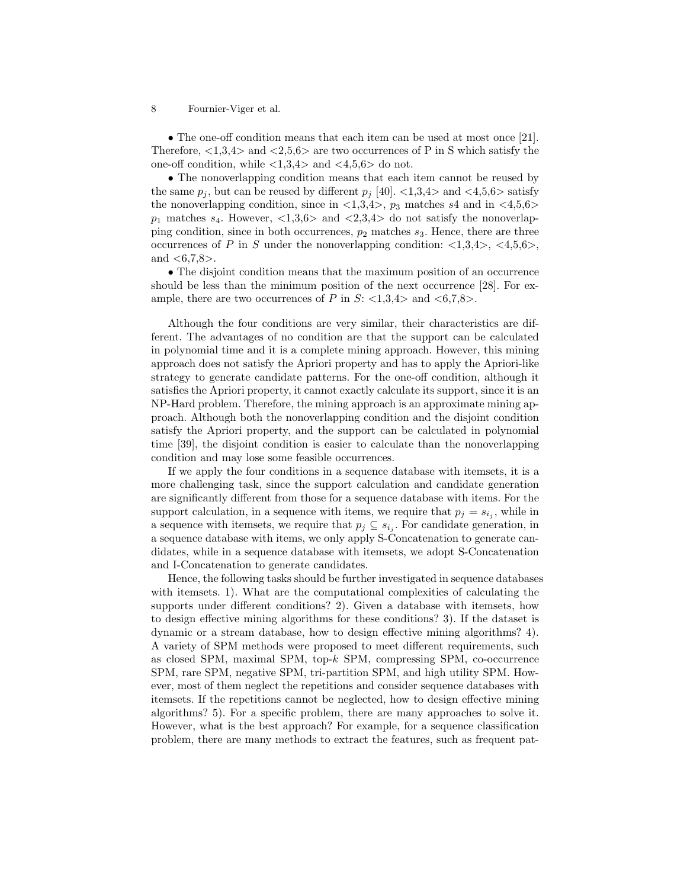• The one-off condition means that each item can be used at most once [21]. Therefore,  $\langle 1,3,4 \rangle$  and  $\langle 2,5,6 \rangle$  are two occurrences of P in S which satisfy the one-off condition, while  $\langle 1,3,4 \rangle$  and  $\langle 4,5,6 \rangle$  do not.

• The nonoverlapping condition means that each item cannot be reused by the same  $p_j$ , but can be reused by different  $p_j$  [40]. <1,3,4> and <4,5,6> satisfy the nonoverlapping condition, since in  $\langle 1,3,4 \rangle$ ,  $p_3$  matches s4 and in  $\langle 4,5,6 \rangle$  $p_1$  matches  $s_4$ . However,  $\langle 1,3,6 \rangle$  and  $\langle 2,3,4 \rangle$  do not satisfy the nonoverlapping condition, since in both occurrences,  $p_2$  matches  $s_3$ . Hence, there are three occurrences of P in S under the nonoverlapping condition:  $\langle 1,3,4 \rangle$ ,  $\langle 4,5,6 \rangle$ , and  $<6,7,8>$ .

• The disjoint condition means that the maximum position of an occurrence should be less than the minimum position of the next occurrence [28]. For example, there are two occurrences of P in  $S: \langle 1,3,4 \rangle$  and  $\langle 6,7,8 \rangle$ .

Although the four conditions are very similar, their characteristics are different. The advantages of no condition are that the support can be calculated in polynomial time and it is a complete mining approach. However, this mining approach does not satisfy the Apriori property and has to apply the Apriori-like strategy to generate candidate patterns. For the one-off condition, although it satisfies the Apriori property, it cannot exactly calculate its support, since it is an NP-Hard problem. Therefore, the mining approach is an approximate mining approach. Although both the nonoverlapping condition and the disjoint condition satisfy the Apriori property, and the support can be calculated in polynomial time [39], the disjoint condition is easier to calculate than the nonoverlapping condition and may lose some feasible occurrences.

If we apply the four conditions in a sequence database with itemsets, it is a more challenging task, since the support calculation and candidate generation are significantly different from those for a sequence database with items. For the support calculation, in a sequence with items, we require that  $p_j = s_{i_j}$ , while in a sequence with itemsets, we require that  $p_j \subseteq s_{i_j}$ . For candidate generation, in a sequence database with items, we only apply S-Concatenation to generate candidates, while in a sequence database with itemsets, we adopt S-Concatenation and I-Concatenation to generate candidates.

Hence, the following tasks should be further investigated in sequence databases with itemsets. 1). What are the computational complexities of calculating the supports under different conditions? 2). Given a database with itemsets, how to design effective mining algorithms for these conditions? 3). If the dataset is dynamic or a stream database, how to design effective mining algorithms? 4). A variety of SPM methods were proposed to meet different requirements, such as closed SPM, maximal SPM, top-k SPM, compressing SPM, co-occurrence SPM, rare SPM, negative SPM, tri-partition SPM, and high utility SPM. However, most of them neglect the repetitions and consider sequence databases with itemsets. If the repetitions cannot be neglected, how to design effective mining algorithms? 5). For a specific problem, there are many approaches to solve it. However, what is the best approach? For example, for a sequence classification problem, there are many methods to extract the features, such as frequent pat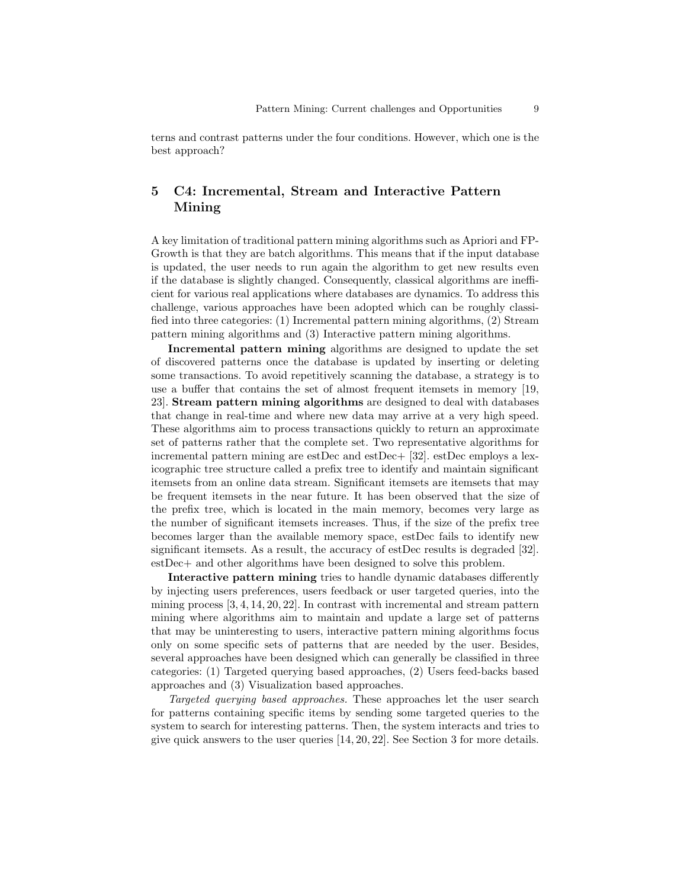terns and contrast patterns under the four conditions. However, which one is the best approach?

# 5 C4: Incremental, Stream and Interactive Pattern Mining

A key limitation of traditional pattern mining algorithms such as Apriori and FP-Growth is that they are batch algorithms. This means that if the input database is updated, the user needs to run again the algorithm to get new results even if the database is slightly changed. Consequently, classical algorithms are inefficient for various real applications where databases are dynamics. To address this challenge, various approaches have been adopted which can be roughly classified into three categories: (1) Incremental pattern mining algorithms, (2) Stream pattern mining algorithms and (3) Interactive pattern mining algorithms.

Incremental pattern mining algorithms are designed to update the set of discovered patterns once the database is updated by inserting or deleting some transactions. To avoid repetitively scanning the database, a strategy is to use a buffer that contains the set of almost frequent itemsets in memory [19, 23]. Stream pattern mining algorithms are designed to deal with databases that change in real-time and where new data may arrive at a very high speed. These algorithms aim to process transactions quickly to return an approximate set of patterns rather that the complete set. Two representative algorithms for incremental pattern mining are estDec and estDec+  $[32]$ . estDec employs a lexicographic tree structure called a prefix tree to identify and maintain significant itemsets from an online data stream. Significant itemsets are itemsets that may be frequent itemsets in the near future. It has been observed that the size of the prefix tree, which is located in the main memory, becomes very large as the number of significant itemsets increases. Thus, if the size of the prefix tree becomes larger than the available memory space, estDec fails to identify new significant itemsets. As a result, the accuracy of estDec results is degraded [32]. estDec+ and other algorithms have been designed to solve this problem.

Interactive pattern mining tries to handle dynamic databases differently by injecting users preferences, users feedback or user targeted queries, into the mining process [3, 4, 14, 20, 22]. In contrast with incremental and stream pattern mining where algorithms aim to maintain and update a large set of patterns that may be uninteresting to users, interactive pattern mining algorithms focus only on some specific sets of patterns that are needed by the user. Besides, several approaches have been designed which can generally be classified in three categories: (1) Targeted querying based approaches, (2) Users feed-backs based approaches and (3) Visualization based approaches.

Targeted querying based approaches. These approaches let the user search for patterns containing specific items by sending some targeted queries to the system to search for interesting patterns. Then, the system interacts and tries to give quick answers to the user queries [14, 20, 22]. See Section 3 for more details.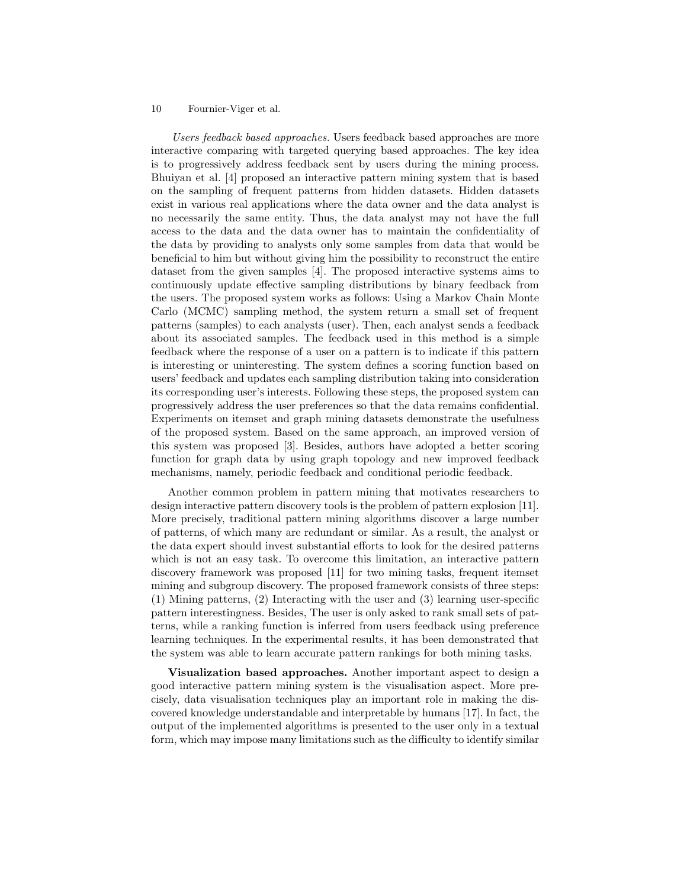Users feedback based approaches. Users feedback based approaches are more interactive comparing with targeted querying based approaches. The key idea is to progressively address feedback sent by users during the mining process. Bhuiyan et al. [4] proposed an interactive pattern mining system that is based on the sampling of frequent patterns from hidden datasets. Hidden datasets exist in various real applications where the data owner and the data analyst is no necessarily the same entity. Thus, the data analyst may not have the full access to the data and the data owner has to maintain the confidentiality of the data by providing to analysts only some samples from data that would be beneficial to him but without giving him the possibility to reconstruct the entire dataset from the given samples [4]. The proposed interactive systems aims to continuously update effective sampling distributions by binary feedback from the users. The proposed system works as follows: Using a Markov Chain Monte Carlo (MCMC) sampling method, the system return a small set of frequent patterns (samples) to each analysts (user). Then, each analyst sends a feedback about its associated samples. The feedback used in this method is a simple feedback where the response of a user on a pattern is to indicate if this pattern is interesting or uninteresting. The system defines a scoring function based on users' feedback and updates each sampling distribution taking into consideration its corresponding user's interests. Following these steps, the proposed system can progressively address the user preferences so that the data remains confidential. Experiments on itemset and graph mining datasets demonstrate the usefulness of the proposed system. Based on the same approach, an improved version of this system was proposed [3]. Besides, authors have adopted a better scoring function for graph data by using graph topology and new improved feedback mechanisms, namely, periodic feedback and conditional periodic feedback.

Another common problem in pattern mining that motivates researchers to design interactive pattern discovery tools is the problem of pattern explosion [11]. More precisely, traditional pattern mining algorithms discover a large number of patterns, of which many are redundant or similar. As a result, the analyst or the data expert should invest substantial efforts to look for the desired patterns which is not an easy task. To overcome this limitation, an interactive pattern discovery framework was proposed [11] for two mining tasks, frequent itemset mining and subgroup discovery. The proposed framework consists of three steps: (1) Mining patterns, (2) Interacting with the user and (3) learning user-specific pattern interestingness. Besides, The user is only asked to rank small sets of patterns, while a ranking function is inferred from users feedback using preference learning techniques. In the experimental results, it has been demonstrated that the system was able to learn accurate pattern rankings for both mining tasks.

Visualization based approaches. Another important aspect to design a good interactive pattern mining system is the visualisation aspect. More precisely, data visualisation techniques play an important role in making the discovered knowledge understandable and interpretable by humans [17]. In fact, the output of the implemented algorithms is presented to the user only in a textual form, which may impose many limitations such as the difficulty to identify similar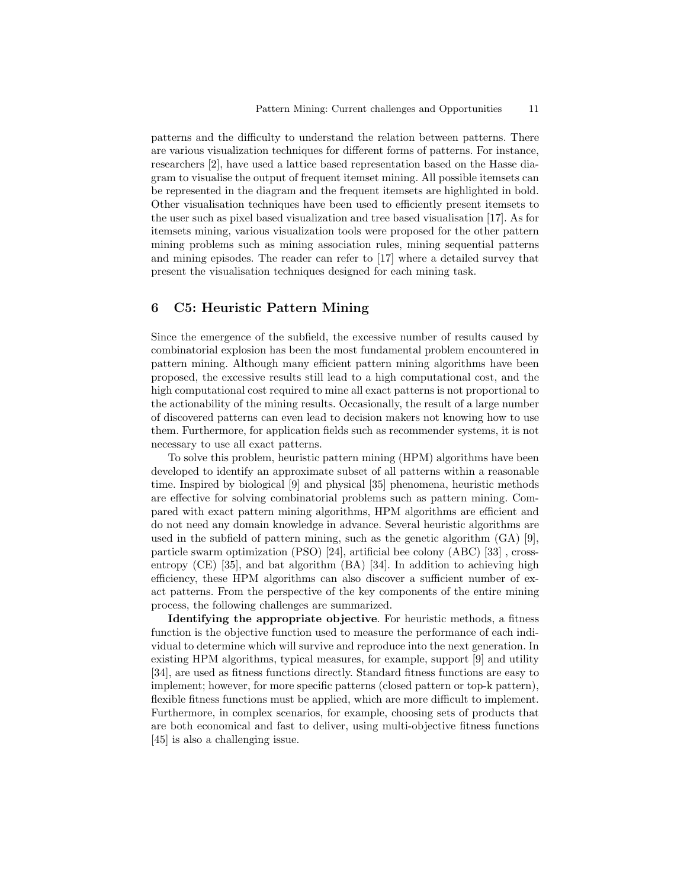patterns and the difficulty to understand the relation between patterns. There are various visualization techniques for different forms of patterns. For instance, researchers [2], have used a lattice based representation based on the Hasse diagram to visualise the output of frequent itemset mining. All possible itemsets can be represented in the diagram and the frequent itemsets are highlighted in bold. Other visualisation techniques have been used to efficiently present itemsets to the user such as pixel based visualization and tree based visualisation [17]. As for itemsets mining, various visualization tools were proposed for the other pattern mining problems such as mining association rules, mining sequential patterns and mining episodes. The reader can refer to [17] where a detailed survey that present the visualisation techniques designed for each mining task.

# 6 C5: Heuristic Pattern Mining

Since the emergence of the subfield, the excessive number of results caused by combinatorial explosion has been the most fundamental problem encountered in pattern mining. Although many efficient pattern mining algorithms have been proposed, the excessive results still lead to a high computational cost, and the high computational cost required to mine all exact patterns is not proportional to the actionability of the mining results. Occasionally, the result of a large number of discovered patterns can even lead to decision makers not knowing how to use them. Furthermore, for application fields such as recommender systems, it is not necessary to use all exact patterns.

To solve this problem, heuristic pattern mining (HPM) algorithms have been developed to identify an approximate subset of all patterns within a reasonable time. Inspired by biological [9] and physical [35] phenomena, heuristic methods are effective for solving combinatorial problems such as pattern mining. Compared with exact pattern mining algorithms, HPM algorithms are efficient and do not need any domain knowledge in advance. Several heuristic algorithms are used in the subfield of pattern mining, such as the genetic algorithm  $(GA)$  [9]. particle swarm optimization (PSO) [24], artificial bee colony (ABC) [33] , crossentropy (CE) [35], and bat algorithm (BA) [34]. In addition to achieving high efficiency, these HPM algorithms can also discover a sufficient number of exact patterns. From the perspective of the key components of the entire mining process, the following challenges are summarized.

Identifying the appropriate objective. For heuristic methods, a fitness function is the objective function used to measure the performance of each individual to determine which will survive and reproduce into the next generation. In existing HPM algorithms, typical measures, for example, support [9] and utility [34], are used as fitness functions directly. Standard fitness functions are easy to implement; however, for more specific patterns (closed pattern or top-k pattern), flexible fitness functions must be applied, which are more difficult to implement. Furthermore, in complex scenarios, for example, choosing sets of products that are both economical and fast to deliver, using multi-objective fitness functions [45] is also a challenging issue.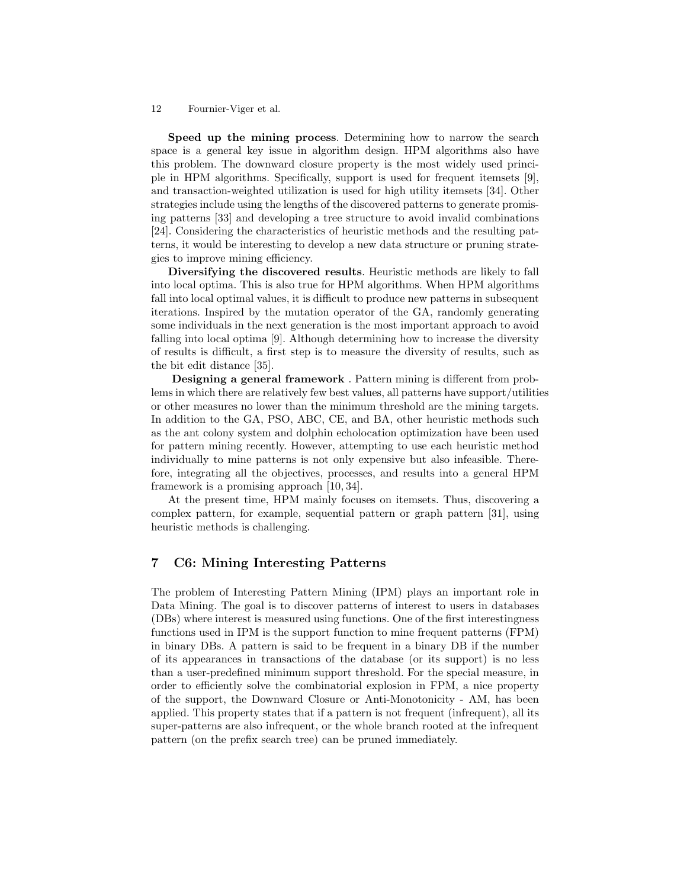Speed up the mining process. Determining how to narrow the search space is a general key issue in algorithm design. HPM algorithms also have this problem. The downward closure property is the most widely used principle in HPM algorithms. Specifically, support is used for frequent itemsets [9], and transaction-weighted utilization is used for high utility itemsets [34]. Other strategies include using the lengths of the discovered patterns to generate promising patterns [33] and developing a tree structure to avoid invalid combinations [24]. Considering the characteristics of heuristic methods and the resulting patterns, it would be interesting to develop a new data structure or pruning strategies to improve mining efficiency.

Diversifying the discovered results. Heuristic methods are likely to fall into local optima. This is also true for HPM algorithms. When HPM algorithms fall into local optimal values, it is difficult to produce new patterns in subsequent iterations. Inspired by the mutation operator of the GA, randomly generating some individuals in the next generation is the most important approach to avoid falling into local optima [9]. Although determining how to increase the diversity of results is difficult, a first step is to measure the diversity of results, such as the bit edit distance [35].

Designing a general framework . Pattern mining is different from problems in which there are relatively few best values, all patterns have support/utilities or other measures no lower than the minimum threshold are the mining targets. In addition to the GA, PSO, ABC, CE, and BA, other heuristic methods such as the ant colony system and dolphin echolocation optimization have been used for pattern mining recently. However, attempting to use each heuristic method individually to mine patterns is not only expensive but also infeasible. Therefore, integrating all the objectives, processes, and results into a general HPM framework is a promising approach [10, 34].

At the present time, HPM mainly focuses on itemsets. Thus, discovering a complex pattern, for example, sequential pattern or graph pattern [31], using heuristic methods is challenging.

## 7 C6: Mining Interesting Patterns

The problem of Interesting Pattern Mining (IPM) plays an important role in Data Mining. The goal is to discover patterns of interest to users in databases (DBs) where interest is measured using functions. One of the first interestingness functions used in IPM is the support function to mine frequent patterns (FPM) in binary DBs. A pattern is said to be frequent in a binary DB if the number of its appearances in transactions of the database (or its support) is no less than a user-predefined minimum support threshold. For the special measure, in order to efficiently solve the combinatorial explosion in FPM, a nice property of the support, the Downward Closure or Anti-Monotonicity - AM, has been applied. This property states that if a pattern is not frequent (infrequent), all its super-patterns are also infrequent, or the whole branch rooted at the infrequent pattern (on the prefix search tree) can be pruned immediately.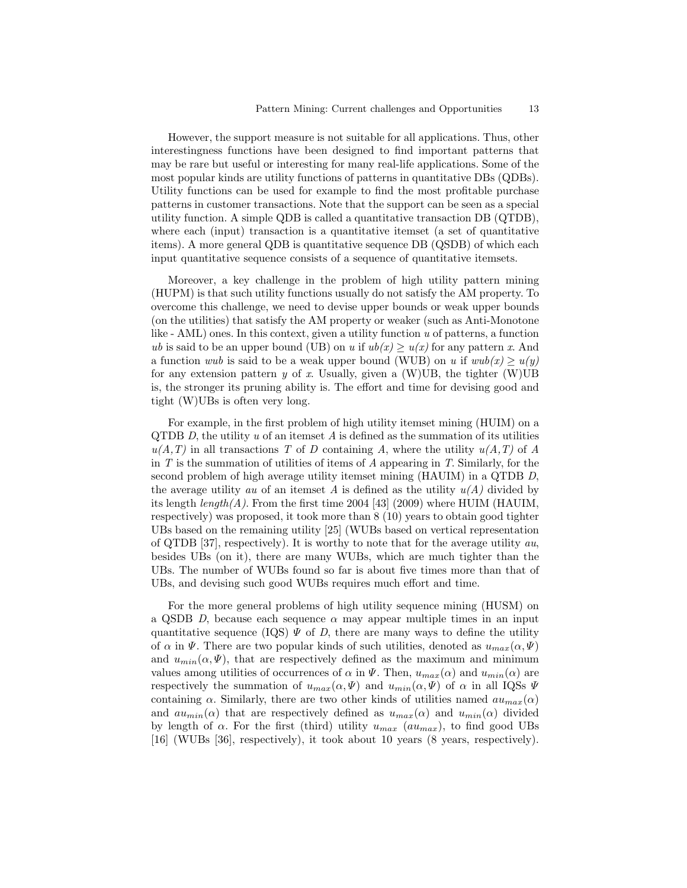However, the support measure is not suitable for all applications. Thus, other interestingness functions have been designed to find important patterns that may be rare but useful or interesting for many real-life applications. Some of the most popular kinds are utility functions of patterns in quantitative DBs (QDBs). Utility functions can be used for example to find the most profitable purchase patterns in customer transactions. Note that the support can be seen as a special utility function. A simple QDB is called a quantitative transaction DB (QTDB), where each (input) transaction is a quantitative itemset (a set of quantitative items). A more general QDB is quantitative sequence DB (QSDB) of which each input quantitative sequence consists of a sequence of quantitative itemsets.

Moreover, a key challenge in the problem of high utility pattern mining (HUPM) is that such utility functions usually do not satisfy the AM property. To overcome this challenge, we need to devise upper bounds or weak upper bounds (on the utilities) that satisfy the AM property or weaker (such as Anti-Monotone like - AML) ones. In this context, given a utility function  $u$  of patterns, a function ub is said to be an upper bound (UB) on u if  $ub(x) > u(x)$  for any pattern x. And a function wub is said to be a weak upper bound (WUB) on u if  $wub(x) > u(y)$ for any extension pattern y of x. Usually, given a  $(W)UB$ , the tighter  $(W)UB$ is, the stronger its pruning ability is. The effort and time for devising good and tight (W)UBs is often very long.

For example, in the first problem of high utility itemset mining (HUIM) on a QTDB  $D$ , the utility  $u$  of an itemset  $A$  is defined as the summation of its utilities  $u(A,T)$  in all transactions T of D containing A, where the utility  $u(A,T)$  of A in  $T$  is the summation of utilities of items of  $A$  appearing in  $T$ . Similarly, for the second problem of high average utility itemset mining (HAUIM) in a QTDB D, the average utility au of an itemset A is defined as the utility  $u(A)$  divided by its length  $length(A)$ . From the first time 2004 [43] (2009) where HUIM (HAUIM, respectively) was proposed, it took more than 8 (10) years to obtain good tighter UBs based on the remaining utility [25] (WUBs based on vertical representation of QTDB [37], respectively). It is worthy to note that for the average utility  $au$ , besides UBs (on it), there are many WUBs, which are much tighter than the UBs. The number of WUBs found so far is about five times more than that of UBs, and devising such good WUBs requires much effort and time.

For the more general problems of high utility sequence mining (HUSM) on a QSDB D, because each sequence  $\alpha$  may appear multiple times in an input quantitative sequence (IQS)  $\Psi$  of D, there are many ways to define the utility of  $\alpha$  in  $\Psi$ . There are two popular kinds of such utilities, denoted as  $u_{max}(\alpha, \Psi)$ and  $u_{min}(\alpha, \Psi)$ , that are respectively defined as the maximum and minimum values among utilities of occurrences of  $\alpha$  in  $\Psi$ . Then,  $u_{max}(\alpha)$  and  $u_{min}(\alpha)$  are respectively the summation of  $u_{max}(\alpha, \Psi)$  and  $u_{min}(\alpha, \Psi)$  of  $\alpha$  in all IQSs  $\Psi$ containing  $\alpha$ . Similarly, there are two other kinds of utilities named  $au_{max}(\alpha)$ and  $au_{min}(\alpha)$  that are respectively defined as  $u_{max}(\alpha)$  and  $u_{min}(\alpha)$  divided by length of  $\alpha$ . For the first (third) utility  $u_{max}$  ( $au_{max}$ ), to find good UBs [16] (WUBs [36], respectively), it took about 10 years (8 years, respectively).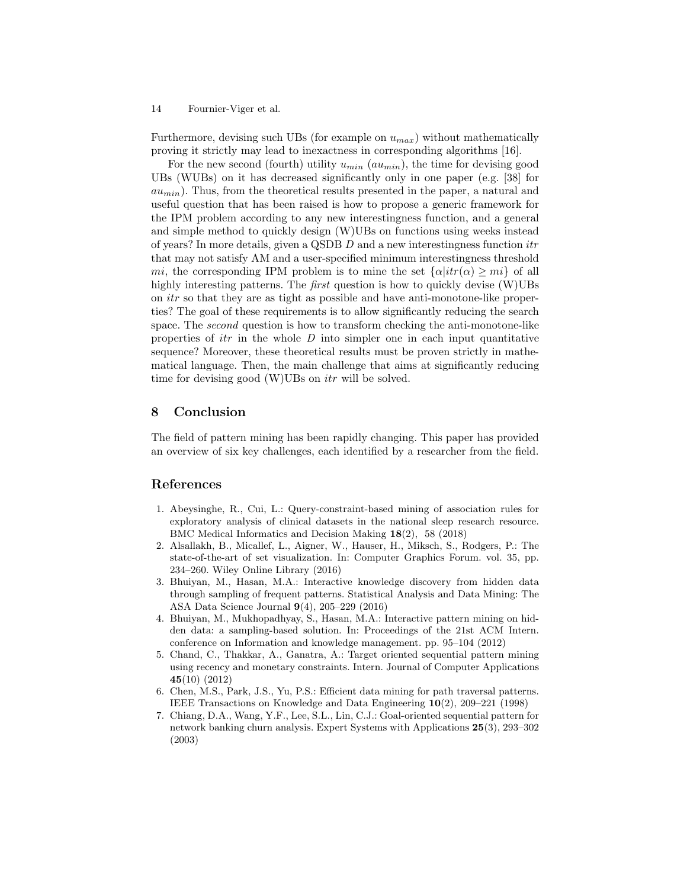Furthermore, devising such UBs (for example on  $u_{max}$ ) without mathematically proving it strictly may lead to inexactness in corresponding algorithms [16].

For the new second (fourth) utility  $u_{min}$  ( $au_{min}$ ), the time for devising good UBs (WUBs) on it has decreased significantly only in one paper (e.g. [38] for  $au<sub>min</sub>$ ). Thus, from the theoretical results presented in the paper, a natural and useful question that has been raised is how to propose a generic framework for the IPM problem according to any new interestingness function, and a general and simple method to quickly design (W)UBs on functions using weeks instead of years? In more details, given a QSDB  $D$  and a new interestingness function itr that may not satisfy AM and a user-specified minimum interestingness threshold mi, the corresponding IPM problem is to mine the set  $\{\alpha\,|itr(\alpha) \geq mi\}$  of all highly interesting patterns. The *first* question is how to quickly devise  $(W)UBs$ on itr so that they are as tight as possible and have anti-monotone-like properties? The goal of these requirements is to allow significantly reducing the search space. The *second* question is how to transform checking the anti-monotone-like properties of  $itr$  in the whole  $D$  into simpler one in each input quantitative sequence? Moreover, these theoretical results must be proven strictly in mathematical language. Then, the main challenge that aims at significantly reducing time for devising good (W)UBs on *itr* will be solved.

# 8 Conclusion

The field of pattern mining has been rapidly changing. This paper has provided an overview of six key challenges, each identified by a researcher from the field.

## References

- 1. Abeysinghe, R., Cui, L.: Query-constraint-based mining of association rules for exploratory analysis of clinical datasets in the national sleep research resource. BMC Medical Informatics and Decision Making 18(2), 58 (2018)
- 2. Alsallakh, B., Micallef, L., Aigner, W., Hauser, H., Miksch, S., Rodgers, P.: The state-of-the-art of set visualization. In: Computer Graphics Forum. vol. 35, pp. 234–260. Wiley Online Library (2016)
- 3. Bhuiyan, M., Hasan, M.A.: Interactive knowledge discovery from hidden data through sampling of frequent patterns. Statistical Analysis and Data Mining: The ASA Data Science Journal 9(4), 205–229 (2016)
- 4. Bhuiyan, M., Mukhopadhyay, S., Hasan, M.A.: Interactive pattern mining on hidden data: a sampling-based solution. In: Proceedings of the 21st ACM Intern. conference on Information and knowledge management. pp. 95–104 (2012)
- 5. Chand, C., Thakkar, A., Ganatra, A.: Target oriented sequential pattern mining using recency and monetary constraints. Intern. Journal of Computer Applications 45(10) (2012)
- 6. Chen, M.S., Park, J.S., Yu, P.S.: Efficient data mining for path traversal patterns. IEEE Transactions on Knowledge and Data Engineering 10(2), 209–221 (1998)
- 7. Chiang, D.A., Wang, Y.F., Lee, S.L., Lin, C.J.: Goal-oriented sequential pattern for network banking churn analysis. Expert Systems with Applications 25(3), 293–302 (2003)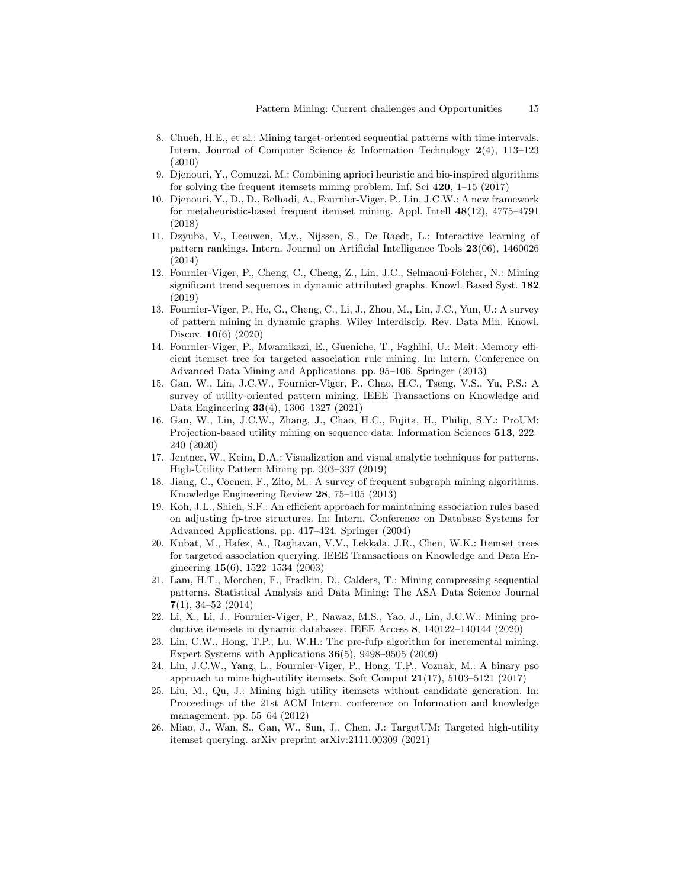- 8. Chueh, H.E., et al.: Mining target-oriented sequential patterns with time-intervals. Intern. Journal of Computer Science & Information Technology 2(4), 113–123 (2010)
- 9. Djenouri, Y., Comuzzi, M.: Combining apriori heuristic and bio-inspired algorithms for solving the frequent itemsets mining problem. Inf. Sci 420, 1–15 (2017)
- 10. Djenouri, Y., D., D., Belhadi, A., Fournier-Viger, P., Lin, J.C.W.: A new framework for metaheuristic-based frequent itemset mining. Appl. Intell 48(12), 4775–4791 (2018)
- 11. Dzyuba, V., Leeuwen, M.v., Nijssen, S., De Raedt, L.: Interactive learning of pattern rankings. Intern. Journal on Artificial Intelligence Tools 23(06), 1460026 (2014)
- 12. Fournier-Viger, P., Cheng, C., Cheng, Z., Lin, J.C., Selmaoui-Folcher, N.: Mining significant trend sequences in dynamic attributed graphs. Knowl. Based Syst. 182 (2019)
- 13. Fournier-Viger, P., He, G., Cheng, C., Li, J., Zhou, M., Lin, J.C., Yun, U.: A survey of pattern mining in dynamic graphs. Wiley Interdiscip. Rev. Data Min. Knowl. Discov. 10(6) (2020)
- 14. Fournier-Viger, P., Mwamikazi, E., Gueniche, T., Faghihi, U.: Meit: Memory efficient itemset tree for targeted association rule mining. In: Intern. Conference on Advanced Data Mining and Applications. pp. 95–106. Springer (2013)
- 15. Gan, W., Lin, J.C.W., Fournier-Viger, P., Chao, H.C., Tseng, V.S., Yu, P.S.: A survey of utility-oriented pattern mining. IEEE Transactions on Knowledge and Data Engineering 33(4), 1306–1327 (2021)
- 16. Gan, W., Lin, J.C.W., Zhang, J., Chao, H.C., Fujita, H., Philip, S.Y.: ProUM: Projection-based utility mining on sequence data. Information Sciences 513, 222– 240 (2020)
- 17. Jentner, W., Keim, D.A.: Visualization and visual analytic techniques for patterns. High-Utility Pattern Mining pp. 303–337 (2019)
- 18. Jiang, C., Coenen, F., Zito, M.: A survey of frequent subgraph mining algorithms. Knowledge Engineering Review 28, 75–105 (2013)
- 19. Koh, J.L., Shieh, S.F.: An efficient approach for maintaining association rules based on adjusting fp-tree structures. In: Intern. Conference on Database Systems for Advanced Applications. pp. 417–424. Springer (2004)
- 20. Kubat, M., Hafez, A., Raghavan, V.V., Lekkala, J.R., Chen, W.K.: Itemset trees for targeted association querying. IEEE Transactions on Knowledge and Data Engineering 15(6), 1522–1534 (2003)
- 21. Lam, H.T., Morchen, F., Fradkin, D., Calders, T.: Mining compressing sequential patterns. Statistical Analysis and Data Mining: The ASA Data Science Journal  $7(1), 34-52 (2014)$
- 22. Li, X., Li, J., Fournier-Viger, P., Nawaz, M.S., Yao, J., Lin, J.C.W.: Mining productive itemsets in dynamic databases. IEEE Access 8, 140122–140144 (2020)
- 23. Lin, C.W., Hong, T.P., Lu, W.H.: The pre-fufp algorithm for incremental mining. Expert Systems with Applications 36(5), 9498–9505 (2009)
- 24. Lin, J.C.W., Yang, L., Fournier-Viger, P., Hong, T.P., Voznak, M.: A binary pso approach to mine high-utility itemsets. Soft Comput  $21(17)$ , 5103-5121 (2017)
- 25. Liu, M., Qu, J.: Mining high utility itemsets without candidate generation. In: Proceedings of the 21st ACM Intern. conference on Information and knowledge management. pp. 55–64 (2012)
- 26. Miao, J., Wan, S., Gan, W., Sun, J., Chen, J.: TargetUM: Targeted high-utility itemset querying. arXiv preprint arXiv:2111.00309 (2021)